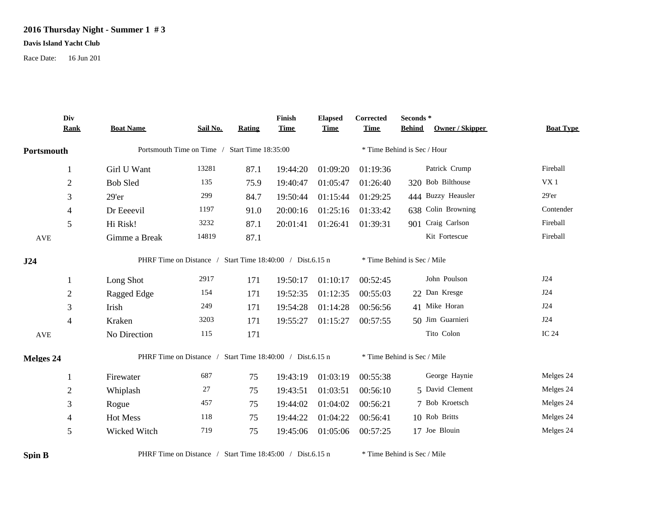## **2016 Thursday Night - Summer 1 # 3**

## **Davis Island Yacht Club**

Race Date: 16 Jun 201

|                  | Div            |                                                           |          |               | Finish      | <b>Elapsed</b> | <b>Corrected</b>            | Seconds *                        |                  |  |  |
|------------------|----------------|-----------------------------------------------------------|----------|---------------|-------------|----------------|-----------------------------|----------------------------------|------------------|--|--|
|                  | <b>Rank</b>    | <b>Boat Name</b>                                          | Sail No. | <b>Rating</b> | <b>Time</b> | <b>Time</b>    | <b>Time</b>                 | Owner / Skipper<br><b>Behind</b> | <b>Boat Type</b> |  |  |
| Portsmouth       |                | Portsmouth Time on Time / Start Time 18:35:00             |          |               |             |                |                             | * Time Behind is Sec / Hour      |                  |  |  |
|                  |                | Girl U Want                                               | 13281    | 87.1          | 19:44:20    | 01:09:20       | 01:19:36                    | Patrick Crump                    | Fireball         |  |  |
|                  | $\overline{2}$ | <b>Bob Sled</b>                                           | 135      | 75.9          | 19:40:47    | 01:05:47       | 01:26:40                    | 320 Bob Bilthouse                | VX <sub>1</sub>  |  |  |
|                  | 3              | $29'$ er                                                  | 299      | 84.7          | 19:50:44    | 01:15:44       | 01:29:25                    | 444 Buzzy Heausler               | 29'er            |  |  |
|                  | 4              | Dr Eeeevil                                                | 1197     | 91.0          | 20:00:16    | 01:25:16       | 01:33:42                    | 638 Colin Browning               | Contender        |  |  |
|                  | 5              | Hi Risk!                                                  | 3232     | 87.1          | 20:01:41    | 01:26:41       | 01:39:31                    | 901 Craig Carlson                | Fireball         |  |  |
| AVE              |                | Gimme a Break                                             | 14819    | 87.1          |             |                |                             | Kit Fortescue                    | Fireball         |  |  |
| J24              |                | PHRF Time on Distance / Start Time 18:40:00 / Dist.6.15 n |          |               |             |                | * Time Behind is Sec / Mile |                                  |                  |  |  |
|                  |                | Long Shot                                                 | 2917     | 171           | 19:50:17    | 01:10:17       | 00:52:45                    | John Poulson                     | J24              |  |  |
|                  | $\overline{2}$ | Ragged Edge                                               | 154      | 171           | 19:52:35    | 01:12:35       | 00:55:03                    | 22 Dan Kresge                    | J24              |  |  |
|                  | 3              | Irish                                                     | 249      | 171           | 19:54:28    | 01:14:28       | 00:56:56                    | 41 Mike Horan                    | J24              |  |  |
|                  | 4              | Kraken                                                    | 3203     | 171           | 19:55:27    | 01:15:27       | 00:57:55                    | 50 Jim Guarnieri                 | J24              |  |  |
| AVE              |                | No Direction                                              | 115      | 171           |             |                |                             | Tito Colon                       | IC 24            |  |  |
| <b>Melges 24</b> |                | PHRF Time on Distance / Start Time 18:40:00 / Dist.6.15 n |          |               |             |                |                             | * Time Behind is Sec / Mile      |                  |  |  |
|                  |                | Firewater                                                 | 687      | 75            | 19:43:19    | 01:03:19       | 00:55:38                    | George Haynie                    | Melges 24        |  |  |
|                  | $\overline{2}$ | Whiplash                                                  | 27       | 75            | 19:43:51    | 01:03:51       | 00:56:10                    | 5 David Clement                  | Melges 24        |  |  |
|                  | 3              | Rogue                                                     | 457      | 75            | 19:44:02    | 01:04:02       | 00:56:21                    | 7 Bob Kroetsch                   | Melges 24        |  |  |
|                  | $\overline{4}$ | Hot Mess                                                  | 118      | 75            | 19:44:22    | 01:04:22       | 00:56:41                    | 10 Rob Britts                    | Melges 24        |  |  |
|                  | 5              | Wicked Witch                                              | 719      | 75            | 19:45:06    | 01:05:06       | 00:57:25                    | 17 Joe Blouin                    | Melges 24        |  |  |

**Spin B** PHRF Time on Distance / Start Time 18:45:00 / Dist.6.15 n \* Time Behind is Sec / Mile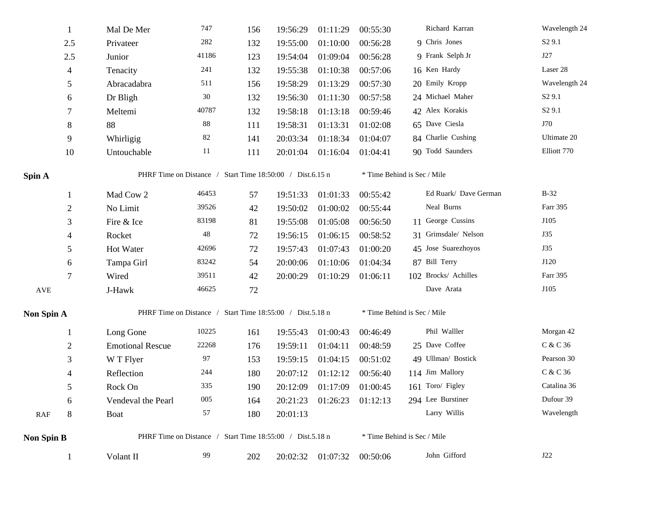|                      | 1              | Mal De Mer                                                | 747                                                       | 156 | 19:56:29 | 01:11:29          | 00:55:30 | Richard Karran              | Wavelength 24      |  |
|----------------------|----------------|-----------------------------------------------------------|-----------------------------------------------------------|-----|----------|-------------------|----------|-----------------------------|--------------------|--|
|                      | 2.5            | Privateer                                                 | 282                                                       | 132 | 19:55:00 | 01:10:00          | 00:56:28 | 9 Chris Jones               | S <sub>2</sub> 9.1 |  |
|                      | 2.5            | Junior                                                    | 41186                                                     | 123 | 19:54:04 | 01:09:04          | 00:56:28 | 9 Frank Selph Jr            | J27                |  |
|                      | $\overline{4}$ | Tenacity                                                  | 241                                                       | 132 | 19:55:38 | 01:10:38          | 00:57:06 | 16 Ken Hardy                | Laser 28           |  |
|                      | 5              | Abracadabra                                               | 511                                                       | 156 | 19:58:29 | 01:13:29          | 00:57:30 | 20 Emily Kropp              | Wavelength 24      |  |
|                      | 6              | Dr Bligh                                                  | 30                                                        | 132 | 19:56:30 | 01:11:30          | 00:57:58 | 24 Michael Maher            | S <sub>2</sub> 9.1 |  |
|                      | 7              | Meltemi                                                   | 40787                                                     | 132 | 19:58:18 | 01:13:18          | 00:59:46 | 42 Alex Korakis             | S <sub>2</sub> 9.1 |  |
|                      | 8              | 88                                                        | 88                                                        | 111 | 19:58:31 | 01:13:31          | 01:02:08 | 65 Dave Ciesla              | J70                |  |
|                      | 9              | Whirligig                                                 | 82                                                        | 141 | 20:03:34 | 01:18:34          | 01:04:07 | 84 Charlie Cushing          | Ultimate 20        |  |
|                      | 10             | Untouchable                                               | 11                                                        | 111 | 20:01:04 | 01:16:04          | 01:04:41 | 90 Todd Saunders            | Elliott 770        |  |
| Spin A               |                |                                                           | PHRF Time on Distance / Start Time 18:50:00 / Dist.6.15 n |     |          |                   |          | * Time Behind is Sec / Mile |                    |  |
|                      | $\mathbf{1}$   | Mad Cow 2                                                 | 46453                                                     | 57  | 19:51:33 | 01:01:33          | 00:55:42 | Ed Ruark/ Dave German       | $B-32$             |  |
|                      | $\overline{c}$ | No Limit                                                  | 39526                                                     | 42  | 19:50:02 | 01:00:02          | 00:55:44 | Neal Burns                  | Farr 395           |  |
|                      | 3              | Fire & Ice                                                | 83198                                                     | 81  | 19:55:08 | 01:05:08          | 00:56:50 | 11 George Cussins           | J105               |  |
|                      | 4              | Rocket                                                    | 48                                                        | 72  | 19:56:15 | 01:06:15          | 00:58:52 | 31 Grimsdale/ Nelson        | J35                |  |
|                      | 5              | Hot Water                                                 | 42696                                                     | 72  | 19:57:43 | 01:07:43          | 01:00:20 | 45 Jose Suarezhoyos         | J35                |  |
|                      | 6              | Tampa Girl                                                | 83242                                                     | 54  | 20:00:06 | 01:10:06          | 01:04:34 | 87 Bill Terry               | J120               |  |
|                      | 7              | Wired                                                     | 39511                                                     | 42  | 20:00:29 | 01:10:29          | 01:06:11 | 102 Brocks/ Achilles        | Farr 395           |  |
| $\operatorname{AVE}$ |                | J-Hawk                                                    | 46625                                                     | 72  |          |                   |          | Dave Arata                  | J105               |  |
| Non Spin A           |                | PHRF Time on Distance / Start Time 18:55:00 / Dist.5.18 n |                                                           |     |          |                   |          | * Time Behind is Sec / Mile |                    |  |
|                      | $\mathbf{1}$   | Long Gone                                                 | 10225                                                     | 161 | 19:55:43 | 01:00:43          | 00:46:49 | Phil Walller                | Morgan 42          |  |
|                      | 2              | <b>Emotional Rescue</b>                                   | 22268                                                     | 176 | 19:59:11 | 01:04:11          | 00:48:59 | 25 Dave Coffee              | C & C 36           |  |
|                      | 3              | W T Flyer                                                 | 97                                                        | 153 | 19:59:15 | 01:04:15          | 00:51:02 | 49 Ullman/ Bostick          | Pearson 30         |  |
|                      | 4              | Reflection                                                | 244                                                       | 180 | 20:07:12 | 01:12:12          | 00:56:40 | 114 Jim Mallory             | C & C 36           |  |
|                      | 5              | Rock On                                                   | 335                                                       | 190 | 20:12:09 | 01:17:09          | 01:00:45 | 161 Toro/ Figley            | Catalina 36        |  |
|                      | 6              | Vendeval the Pearl                                        | 005                                                       | 164 | 20:21:23 | 01:26:23 01:12:13 |          | 294 Lee Burstiner           | Dufour 39          |  |
| RAF                  | 8              | <b>Boat</b>                                               | 57                                                        | 180 | 20:01:13 |                   |          | Larry Willis                | Wavelength         |  |
| Non Spin B           |                | PHRF Time on Distance / Start Time 18:55:00 / Dist.5.18 n |                                                           |     |          |                   |          | * Time Behind is Sec / Mile |                    |  |
|                      |                | Volant II                                                 | 99                                                        | 202 |          | 20:02:32 01:07:32 | 00:50:06 | John Gifford                | J22                |  |